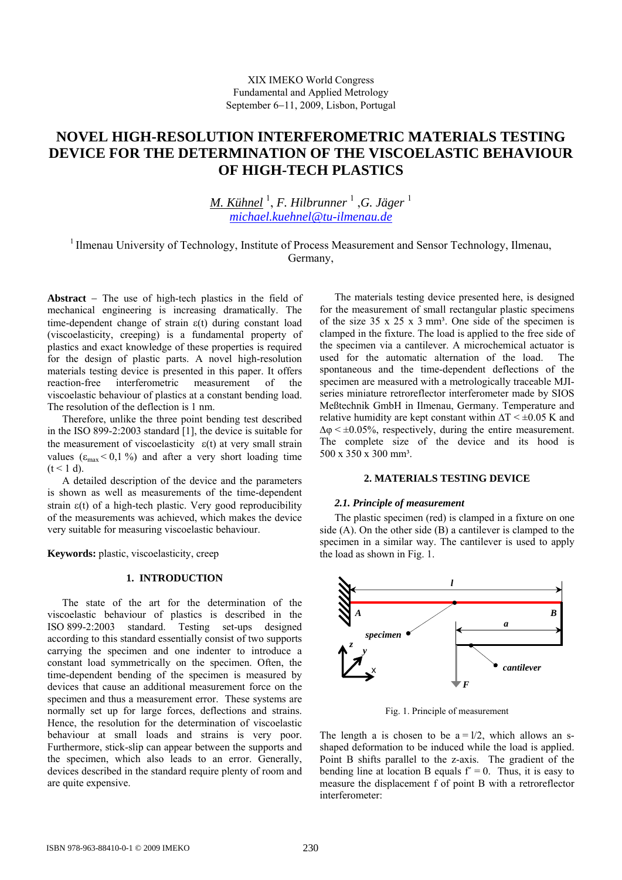# **NOVEL HIGH-RESOLUTION INTERFEROMETRIC MATERIALS TESTING DEVICE FOR THE DETERMINATION OF THE VISCOELASTIC BEHAVIOUR OF HIGH-TECH PLASTICS**

*M. Kühnel* <sup>1</sup> , *F. Hilbrunner* <sup>1</sup> ,*G. Jäger* <sup>1</sup> *[michael.kuehnel@tu-ilmenau.de](mailto:michael.kuehnel@tu-ilmenau.de)*

<sup>1</sup> Ilmenau University of Technology, Institute of Process Measurement and Sensor Technology, Ilmenau, Germany,

**Abstract** − The use of high-tech plastics in the field of mechanical engineering is increasing dramatically. The time-dependent change of strain ε(t) during constant load (viscoelasticity, creeping) is a fundamental property of plastics and exact knowledge of these properties is required for the design of plastic parts. A novel high-resolution materials testing device is presented in this paper. It offers reaction-free interferometric measurement of the viscoelastic behaviour of plastics at a constant bending load. The resolution of the deflection is 1 nm.

Therefore, unlike the three point bending test described in the ISO 899-2:2003 standard [1], the device is suitable for the measurement of [viscoelasticity](http://dict.leo.org/ende?lp=ende&p=thMx..&search=viscoelasticity)  $\varepsilon(t)$  at very small strain values ( $\epsilon_{\text{max}}$  < 0,1 %) and after a very short loading time  $(t < 1 d)$ .

A detailed description of the device and the parameters is shown as well as measurements of the time-dependent strain ε(t) of a high-tech plastic. Very good reproducibility of the measurements was achieved, which makes the device very suitable for measuring viscoelastic behaviour.

**Keywords:** plastic, viscoelasticity, creep

## **1. INTRODUCTION**

The state of the art for the determination of the viscoelastic behaviour of plastics is described in the ISO 899-2:2003 standard. Testing set-ups designed according to this standard essentially consist of two supports carrying the specimen and one indenter to introduce a constant load symmetrically on the specimen. Often, the time-dependent bending of the specimen is measured by devices that cause an [additional](http://dict.tu-chemnitz.de/english-german/additional.html) measurement force on the specimen and thus a measurement error. These systems are normally set up for large forces, deflections and strains. Hence, the resolution for the determination of viscoelastic behaviour at small loads and strains is very poor. Furthermore, stick-slip can appear between the supports and the specimen, which also leads to an error. Generally, devices described in the standard require plenty of room and are quite expensive.

The materials testing device presented here, is designed for the measurement of small rectangular plastic specimens of the size  $35 \times 25 \times 3$  mm<sup>3</sup>. One side of the specimen is clamped in the fixture. The load is applied to the free side of the specimen via a cantilever. A microchemical actuator is used for the automatic alternation of the load. The [spontaneous](http://dict.leo.org/ende?lp=ende&p=thMx..&search=spontaneous) and the time-dependent deflections of the specimen are measured with a metrologically traceable MJIseries miniature retroreflector interferometer made by SIOS Meßtechnik GmbH in Ilmenau, Germany. Temperature and [relative](http://dict.leo.org/ende?lp=ende&p=thMx..&search=relative) [humidity](http://dict.leo.org/ende?lp=ende&p=thMx..&search=humidity) are kept constant within  $\Delta T \leq \pm 0.05$  K and  $\Delta \varphi \leq \pm 0.05\%$ , respectively, during the entire measurement. The complete size of the device and its hood is  $500 \times 350 \times 300 \text{ mm}^3$ .

## **2. MATERIALS TESTING DEVICE**

## *2.1. Principle of measurement*

The plastic specimen (red) is clamped in a fixture on one side (A). On the other side (B) a cantilever is clamped to the specimen in a similar way. The cantilever is used to apply the load as shown in Fig. 1.



Fig. 1. Principle of measurement

The length a is chosen to be  $a = 1/2$ , which allows an sshaped deformation to be induced while the load is applied. Point B shifts parallel to the z-axis. The gradient of the bending line at location B equals  $f' = 0$ . Thus, it is easy to measure the displacement f of point B with a retroreflector interferometer: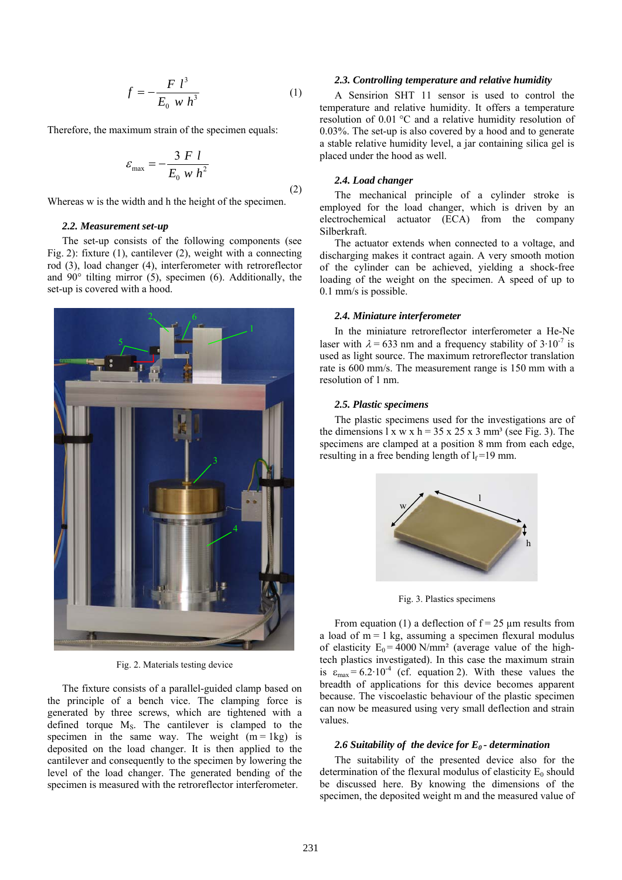$$
f = -\frac{F l^3}{E_0 w h^3}
$$
 (1)

Therefore, the maximum strain of the specimen equals:

$$
\varepsilon_{\text{max}} = -\frac{3 \ F \ l}{E_0 \ w \ h^2} \tag{2}
$$

Whereas w is the width and h the height of the specimen.

### *2.2. Measurement set-up*

The set-up consists of the following components (see Fig. 2): fixture (1), cantilever (2), weight with a connecting rod (3), load changer (4), interferometer with retroreflector and 90° tilting mirror (5), specimen (6). Additionally, the set-up is covered with a hood.



Fig. 2. Materials testing device

The fixture consists of a parallel-guided clamp based on the principle of a bench vice. The clamping force is generated by three screws, which are tightened with a defined torque M<sub>S</sub>. The cantilever is clamped to the specimen in the same way. The weight  $(m = 1kg)$  is deposited on the load changer. It is then applied to the cantilever and consequently to the specimen by lowering the level of the load changer. The generated bending of the specimen is measured with the retroreflector interferometer.

### *2.3. Controlling temperature and relative humidity*

 A Sensirion SHT 11 sensor is used to control the temperature and relative humidity. It offers a temperature resolution of 0.01 °C and a relative humidity resolution of 0.03%. The set-up is also covered by a hood and to generate a stable relative humidity level, a jar containing silica gel is placed under the hood as well.

#### *2.4. Load changer*

The mechanical principle of a cylinder stroke is employed for the load changer, which is driven by an electrochemical actuator (ECA) from the company Silberkraft.

The actuator extends when connected to a voltage, and discharging makes it contract again. A very smooth motion of the cylinder can be achieved, yielding a shock-free loading of the weight on the specimen. A speed of up to 0.1 mm/s is possible.

#### *2.4. Miniature interferometer*

In the miniature retroreflector interferometer a He-Ne laser with  $\lambda$  = 633 nm and a frequency stability of 3·10<sup>-7</sup> is used as light source. The maximum retroreflector translation rate is 600 mm/s. The measurement range is 150 mm with a resolution of 1 nm.

#### *2.5. Plastic specimens*

The plastic specimens used for the investigations are of the dimensions  $1 \times w \times h = 35 \times 25 \times 3$  mm<sup>3</sup> (see Fig. 3). The specimens are clamped at a position 8 mm from each edge, resulting in a free bending length of  $l_f = 19$  mm.



Fig. 3. Plastics specimens

From equation (1) a deflection of  $f = 25 \mu m$  results from a load of  $m = 1$  kg, assuming a specimen [flexural](http://dict.leo.org/ende?lp=ende&p=thMx..&search=flexural) [modulus](http://dict.leo.org/ende?lp=ende&p=thMx..&search=modulus) [of](http://dict.leo.org/ende?lp=ende&p=thMx..&search=of) [elasticity](http://dict.leo.org/ende?lp=ende&p=thMx..&search=elasticity)  $E_0 = 4000$  N/mm<sup>2</sup> (average value of the hightech plastics investigated). In this case the maximum strain is  $\varepsilon_{\text{max}} = 6.2 \cdot 10^{-4}$  (cf. equation 2). With these values the breadth of applications for this device becomes apparent because. The viscoelastic behaviour of the plastic specimen can now be measured using very small deflection and strain values.

#### *2.6 Suitability of the device for E0 - determination*

The suitability of the presented device also for the determination of the [flexural](http://dict.leo.org/ende?lp=ende&p=thMx..&search=flexural) [modulus](http://dict.leo.org/ende?lp=ende&p=thMx..&search=modulus) [of](http://dict.leo.org/ende?lp=ende&p=thMx..&search=of) [elasticity](http://dict.leo.org/ende?lp=ende&p=thMx..&search=elasticity)  $E_0$  should be discussed here. By knowing the dimensions of the specimen, the deposited weight m and the measured value of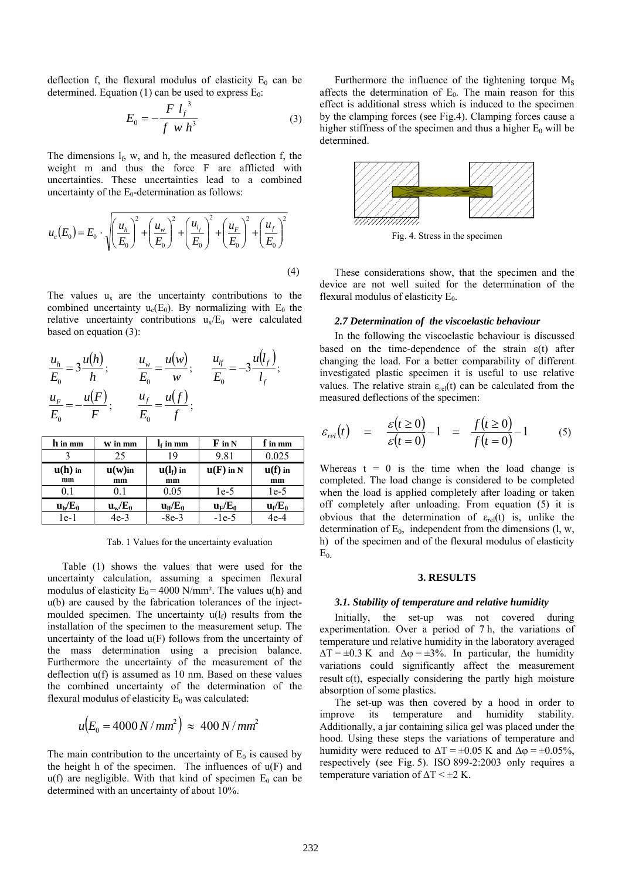deflection f, the [flexural](http://dict.leo.org/ende?lp=ende&p=thMx..&search=flexural) [modulus](http://dict.leo.org/ende?lp=ende&p=thMx..&search=modulus) [of](http://dict.leo.org/ende?lp=ende&p=thMx..&search=of) [elasticity](http://dict.leo.org/ende?lp=ende&p=thMx..&search=elasticity)  $E_0$  can be determined. Equation (1) can be used to express  $E_0$ :

$$
E_0 = -\frac{F l_f^3}{f w h^3}
$$
 (3)

The dimensions  $l_f$ , w, and h, the measured deflection f, the weight m and thus the force F are afflicted with uncertainties. These uncertainties lead to a combined uncertainty of the  $E_0$ -determination as follows:

$$
u_c(E_0) = E_0 \cdot \sqrt{\left(\frac{u_h}{E_0}\right)^2 + \left(\frac{u_w}{E_0}\right)^2 + \left(\frac{u_{l_f}}{E_0}\right)^2 + \left(\frac{u_F}{E_0}\right)^2 + \left(\frac{u_f}{E_0}\right)^2}
$$
\n(4)

The values  $u_x$  are the uncertainty contributions to the combined uncertainty  $u_c(E_0)$ . By normalizing with  $E_0$  the relative uncertainty contributions  $u_x/E_0$  were calculated based on equation (3):

$$
\frac{u_h}{E_0} = 3 \frac{u(h)}{h}; \qquad \frac{u_w}{E_0} = \frac{u(w)}{w}; \qquad \frac{u_{lf}}{E_0} = -3 \frac{u(l_f)}{l_f};
$$
\n
$$
\frac{u_F}{E_0} = -\frac{u(F)}{F}; \qquad \frac{u_f}{E_0} = \frac{u(f)}{f};
$$

| h in mm   | W in mm                     | $\mathbf{l}_\text{f}$ in mm   | $\bf{F}$ in N | $f$ in mm                   |
|-----------|-----------------------------|-------------------------------|---------------|-----------------------------|
|           | 25                          | 19                            | 9.81          | 0.025                       |
| $u(h)$ in | $\mathbf{u}(\mathbf{w})$ in | $\mathbf{u}(\mathbf{l}_f)$ in | $u(F)$ in N   | $\mathbf{u}(\mathbf{f})$ in |
| mm        | mm                          | mm                            |               | mm                          |
| (1)       | 0.1                         | 0.05                          | 1e-5          | $1e-5$                      |
| $u_h/E_0$ | $u_w/E_0$                   | $u_{\rm lf}/E_0$              | $u_F/E_0$     | $u_f/E_0$                   |
| $1e-1$    | 4e-3                        | -8e-3                         | $-1e-5$       | 4e-4                        |

Tab. 1 Values for the uncertainty evaluation

Table (1) shows the values that were used for the uncertainty calculation, assuming a specimen [flexural](http://dict.leo.org/ende?lp=ende&p=thMx..&search=flexural) [modulus](http://dict.leo.org/ende?lp=ende&p=thMx..&search=modulus) [of](http://dict.leo.org/ende?lp=ende&p=thMx..&search=of) [elasticity](http://dict.leo.org/ende?lp=ende&p=thMx..&search=elasticity)  $E_0 = 4000$  N/mm<sup>2</sup>. The values u(h) and u(b) are caused by the fabrication tolerances of the injectmoulded specimen. The uncertainty  $u(l_f)$  results from the installation of the specimen to the measurement setup. The uncertainty of the load u(F) follows from the uncertainty of the mass determination using a precision balance. Furthermore the uncertainty of the measurement of the deflection u(f) is assumed as 10 nm. Based on these values the combined uncertainty of the determination of the [flexural](http://dict.leo.org/ende?lp=ende&p=thMx..&search=flexural) [modulus](http://dict.leo.org/ende?lp=ende&p=thMx..&search=modulus) [of](http://dict.leo.org/ende?lp=ende&p=thMx..&search=of) [elasticity](http://dict.leo.org/ende?lp=ende&p=thMx..&search=elasticity)  $E_0$  was calculated:

$$
u(E_0=4000\,N/mm^2\big)\approx\,400\,N/mm^2
$$

The main contribution to the uncertainty of  $E_0$  is caused by the height h of the specimen. The influences of  $u(F)$  and  $u(f)$  are negligible. With that kind of specimen  $E_0$  can be determined with an uncertainty of about 10%.

Furthermore the influence of the tightening torque  $M<sub>S</sub>$ affects the determination of  $E_0$ . The main reason for this effect is additional stress which is induced to the specimen by the clamping forces (see Fig.4). Clamping forces cause a higher stiffness of the specimen and thus a higher  $E_0$  will be determined.



Fig. 4. Stress in the specimen

These considerations show, that the specimen and the device are not well suited for the determination of the [flexural](http://dict.leo.org/ende?lp=ende&p=thMx..&search=flexural) [modulus](http://dict.leo.org/ende?lp=ende&p=thMx..&search=modulus) [of](http://dict.leo.org/ende?lp=ende&p=thMx..&search=of) [elasticity](http://dict.leo.org/ende?lp=ende&p=thMx..&search=elasticity)  $E_0$ .

#### *2.7 Determination of the viscoelastic behaviour*

In the following the viscoelastic behaviour is discussed based on the time-dependence of the strain  $\varepsilon(t)$  after changing the load. For a better comparability of different investigated plastic specimen it is useful to use relative values. The relative strain  $\varepsilon_{rel}(t)$  can be calculated from the measured deflections of the specimen:

$$
\varepsilon_{rel}(t) = \frac{\varepsilon(t \ge 0)}{\varepsilon(t = 0)} - 1 = \frac{f(t \ge 0)}{f(t = 0)} - 1 \tag{5}
$$

Whereas  $t = 0$  is the time when the load change is completed. The load change is considered to be completed when the load is applied completely after loading or taken off completely after unloading. From equation (5) it is obvious that the determination of  $\varepsilon_{rel}(t)$  is, unlike the determination of  $E_0$ , independent from the dimensions  $(l, w,$ h) of the specimen and of the [flexural](http://dict.leo.org/ende?lp=ende&p=thMx..&search=flexural) [modulus](http://dict.leo.org/ende?lp=ende&p=thMx..&search=modulus) [of](http://dict.leo.org/ende?lp=ende&p=thMx..&search=of) [elasticity](http://dict.leo.org/ende?lp=ende&p=thMx..&search=elasticity)  $E_0$ 

#### **3. RESULTS**

#### *3.1. Stability of temperature and relative humidity*

Initially, the set-up was not covered during experimentation. Over a period of 7 h, the variations of temperature und relative humidity in the laboratory averaged  $\Delta T = \pm 0.3$  K and  $\Delta \varphi = \pm 3\%$ . In particular, the humidity variations could significantly affect the measurement result  $\varepsilon(t)$ , especially considering the partly high moisture absorption of some plastics.

The set-up was then covered by a hood in order to improve its temperature and humidity stability. Additionally, a jar containing silica gel was placed under the hood. Using these steps the variations of temperature and humidity were reduced to  $\Delta T = \pm 0.05$  K and  $\Delta \varphi = \pm 0.05\%$ , respectively (see Fig. 5). ISO 899-2:2003 only requires a temperature variation of  $\Delta T \leq \pm 2$  K.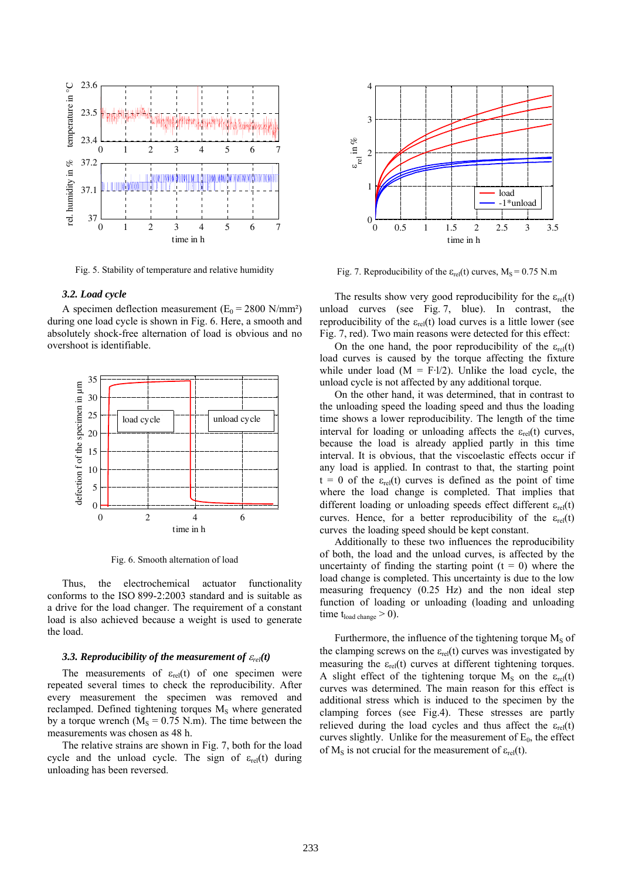

Fig. 5. Stability of temperature and relative humidity

### *3.2. Load cycle*

A specimen deflection measurement ( $E_0 = 2800 \text{ N/mm}^2$ ) during one load cycle is shown in Fig. 6. Here, a smooth and absolutely shock-free alternation of load is obvious and no overshoot is identifiable.



Fig. 6. Smooth [alternation](http://dict.leo.org/ende?lp=ende&p=thMx..&search=alternation) [of](http://dict.leo.org/ende?lp=ende&p=thMx..&search=of) [load](http://dict.leo.org/ende?lp=ende&p=thMx..&search=load) 

Thus, the electrochemical actuator functionality conforms to the ISO 899-2:2003 standard and is suitable as a drive for the load changer. The requirement of a constant load is also achieved because a weight is used to generate the load.

#### *3.3. [Reproducibility](http://www.dict.cc/englisch-deutsch/reproducibility.html) of the measurement of*  $\varepsilon_{rel}(t)$

The measurements of  $\varepsilon_{rel}(t)$  of one specimen were repeated several times to check the [reproducibility.](http://www.dict.cc/englisch-deutsch/reproducibility.html) After every measurement the specimen was removed and reclamped. Defined tightening torques  $M<sub>S</sub>$  where generated by a torque wrench ( $M<sub>S</sub> = 0.75$  N.m). The time between the measurements was chosen as 48 h.

The relative strains are shown in Fig. 7, both for the load cycle and the unload cycle. The sign of  $\varepsilon_{rel}(t)$  during unloading has been reversed.



Fig. 7. Reproducibility of the  $\varepsilon_{rel}(t)$  curves,  $M_s = 0.75$  N.m

The results show very good reproducibility for the  $\varepsilon_{rel}(t)$ unload curves (see Fig. 7, blue). In contrast, the reproducibility of the  $\varepsilon_{rel}(t)$  load curves is a little lower (see Fig. 7, red). Two main reasons were detected for this effect:

On the one hand, the poor reproducibility of the  $\varepsilon_{rel}(t)$ load curves is caused by the torque affecting the fixture while under load  $(M = F·l/2)$ . Unlike the load cycle, the unload cycle is not affected by any additional torque.

On the other hand, it was determined, that in contrast to the unloading speed the loading speed and thus the loading time shows a lower reproducibility. The length of the time interval for loading or unloading affects the  $\varepsilon_{rel}(t)$  curves, because the load is already applied partly in this time interval. It is obvious, that the viscoelastic effects occur if any load is applied. In contrast to that, the starting point  $t = 0$  of the  $\varepsilon_{rel}(t)$  curves is defined as the point of time where the load change is completed. That implies that different loading or unloading speeds effect different  $\varepsilon_{rel}(t)$ curves. Hence, for a better reproducibility of the  $\varepsilon_{rel}(t)$ curves the loading speed should be kept constant.

Additionally to these two influences the reproducibility of both, the load and the unload curves, is affected by the uncertainty of finding the starting point  $(t = 0)$  where the load change is completed. This uncertainty is due to the low measuring frequency (0.25 Hz) and the non ideal step function of loading or unloading (loading and unloading time  $t_{load \text{ change}} > 0$ ).

Furthermore, the influence of the tightening torque  $M<sub>S</sub>$  of the clamping screws on the  $\varepsilon_{rel}(t)$  curves was investigated by measuring the  $\varepsilon_{rel}(t)$  curves at different tightening torques. A slight effect of the tightening torque  $M_S$  on the  $\varepsilon_{rel}(t)$ curves was determined. The main reason for this effect is additional stress which is induced to the specimen by the clamping forces (see Fig.4). These stresses are partly relieved during the load cycles and thus affect the  $\varepsilon_{rel}(t)$ curves slightly. Unlike for the measurement of  $E_0$ , the effect of M<sub>S</sub> is not crucial for the measurement of  $\varepsilon_{rel}(t)$ .